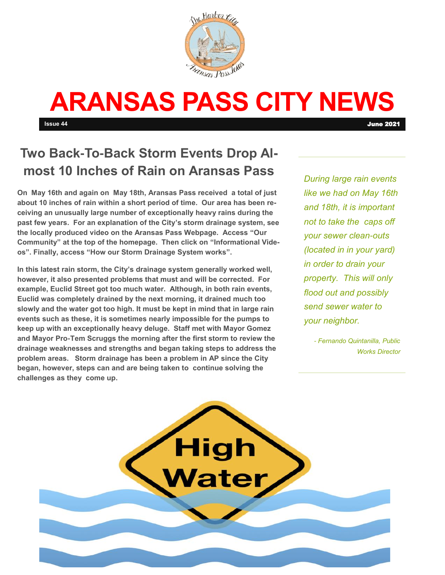

# **ARANSAS PASS CITY NEWS**

**Issue 44** June 2021

# **Two Back-To-Back Storm Events Drop Almost 10 Inches of Rain on Aransas Pass**

**On May 16th and again on May 18th, Aransas Pass received a total of just about 10 inches of rain within a short period of time. Our area has been receiving an unusually large number of exceptionally heavy rains during the past few years. For an explanation of the City's storm drainage system, see the locally produced video on the Aransas Pass Webpage. Access "Our Community" at the top of the homepage. Then click on "Informational Videos". Finally, access "How our Storm Drainage System works".** 

**In this latest rain storm, the City's drainage system generally worked well, however, it also presented problems that must and will be corrected. For example, Euclid Street got too much water. Although, in both rain events, Euclid was completely drained by the next morning, it drained much too slowly and the water got too high. It must be kept in mind that in large rain events such as these, it is sometimes nearly impossible for the pumps to keep up with an exceptionally heavy deluge. Staff met with Mayor Gomez and Mayor Pro-Tem Scruggs the morning after the first storm to review the drainage weaknesses and strengths and began taking steps to address the problem areas. Storm drainage has been a problem in AP since the City began, however, steps can and are being taken to continue solving the challenges as they come up.** 

*During large rain events like we had on May 16th and 18th, it is important not to take the caps off your sewer clean-outs (located in in your yard) in order to drain your property. This will only flood out and possibly send sewer water to your neighbor.* 

> *- Fernando Quintanilla, Public Works Director*

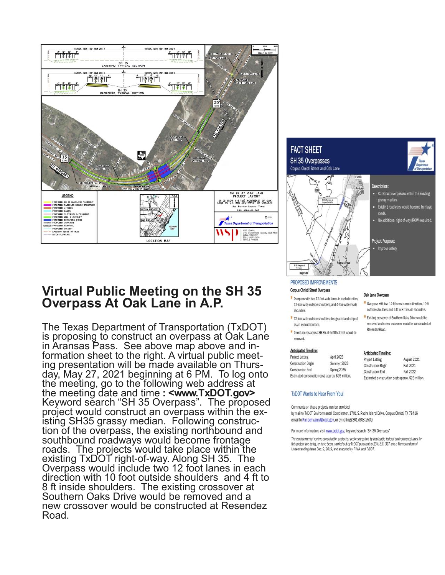

## Virtual Public Meeting on the SH 35 Overpass At Oak Lane in A.P.

The Texas Department of Transportation (TxDOT) is proposing to construct an overpass at Oak Lane in Aransas Pass. See above map above and information sheet to the right. A virtual public meeting presentation will be made available on Thursday, May 27, 2021 beginning at 6 PM. To log onto the meeting, go to the following web address at the meeting date and time: <www.TxDOT.gov> Keyword search "SH 35 Overpass". The proposed project would construct an overpass within the existing SH35 grassy median. Following construction of the overpass, the existing northbound and southbound roadways would become frontage roads. The projects would take place within the existing TxDOT right-of-way. Along SH 35. The Overpass would include two 12 foot lanes in each direction with 10 foot outside shoulders and 4 ft to 8 ft inside shoulders. The existing crossover at Southern Oaks Drive would be removed and a new crossover would be constructed at Resendez Road.



Oak Lane Overpass

Resendez Road.

Anti-Install Timeline

Overpass with two 12-ft lanes in each direction, 10-ft

outside shoulders and 4-ft to 8-ft inside shoulders.

**E** Existing crossover at Southern Oaks Drive would be removed and a new crossover would be constructed at

#### PROPOSED IMPROVEMENTS

#### Corpus Christi Street Overpass

- Overpass with two 12-foot-wide lanes in each direction. 12-foot-wide outside shoulders, and 4-foot-wide inside shoulders
- 12-foot-wide outside shoulders designated and striped as an evacuation lane.
- Direct access across SH 35 at Griffith Street would be removed.

#### **Anticipated Timeline:**

|                                                    |             | WINDOUGLED TRUGHLIC.                               |             |
|----------------------------------------------------|-------------|----------------------------------------------------|-------------|
| Project Letting                                    | April 2023  | Project Letting                                    | August 2021 |
| <b>Construction Begin</b>                          | Summer 2023 |                                                    |             |
|                                                    |             | <b>Construction Begin</b>                          | Fall 2021   |
| <b>Construction End</b>                            | Spring 2025 | <b>Construction End</b>                            | Fall 2022   |
|                                                    |             |                                                    |             |
| Estimated construction cost: approx. \$15 million. |             | Estimated construction cost: approx. \$23 million. |             |

#### **TxDOT Wants to Hear From You!**

Comments on these projects can be provided:

by mail to TxDOT Environmental Coordinator, 1701 S. Padre Island Drive, Corpus Christi, TX 78416 email to Kimberly.amy@txdot.gov, or by calling (361) 808-2509.

For more information, visit www.txdot.gov, keyword search "SH 35 Overpass"

The environmental review, consultation and other actions required by applicable federal environmental laws for this project are being, or have been, carried out by TxDOT pursuant to 23 U.S.C. 327 and a Memorandum of Understanding dated Dec. 9, 2019, and executed by FHWA and TxDOT.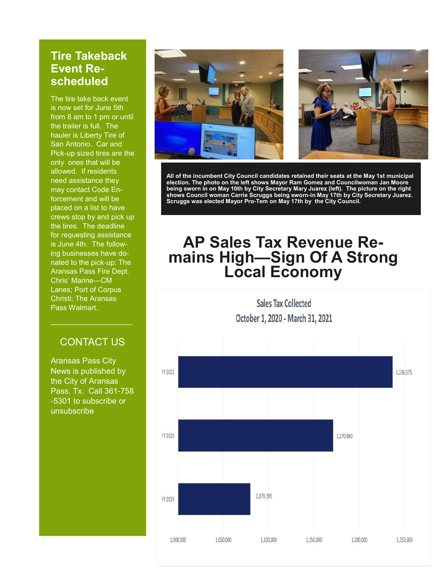### **Tire Takeback Event Rescheduled**

The tire take back event is now set for June 5th from 8 am to 1 pm or until the trailer is full. The hauler is Liberty Tire of San Antonio. Car and Pick-up sized tires are the only ones that will be allowed. If residents need assistance they may contact Code Enforcement and will be placed on a list to have crews stop by and pick up the tires. The deadline for requesting assistance is June 4th. The following businesses have donated to the pick-up: The Aransas Pass Fire Dept. Chris' Marine—CM Lanes; Port of Corpus Christi; The Aransas Pass Walmart.

### CONTACT US

Aransas Pass City News is published by the City of Aransas Pass, Tx. Call 361-758 -5301 to subscribe or unsubscribe



**All of the incumbent City Council candidates retained their seats at the May 1st municipal election. The photo on the left shows Mayor Ram Gomez and Councilwoman Jan Moore being sworn in on May 10th by City Secretary Mary Juarez (left). The picture on the right shows Council woman Carrie Scruggs being sworn-in May 17th by City Secretary Juarez. Scruggs was elected Mayor Pro-Tem on May 17th by the City Council.** 

# **AP Sales Tax Revenue Remains High—Sign Of A Strong Local Economy**